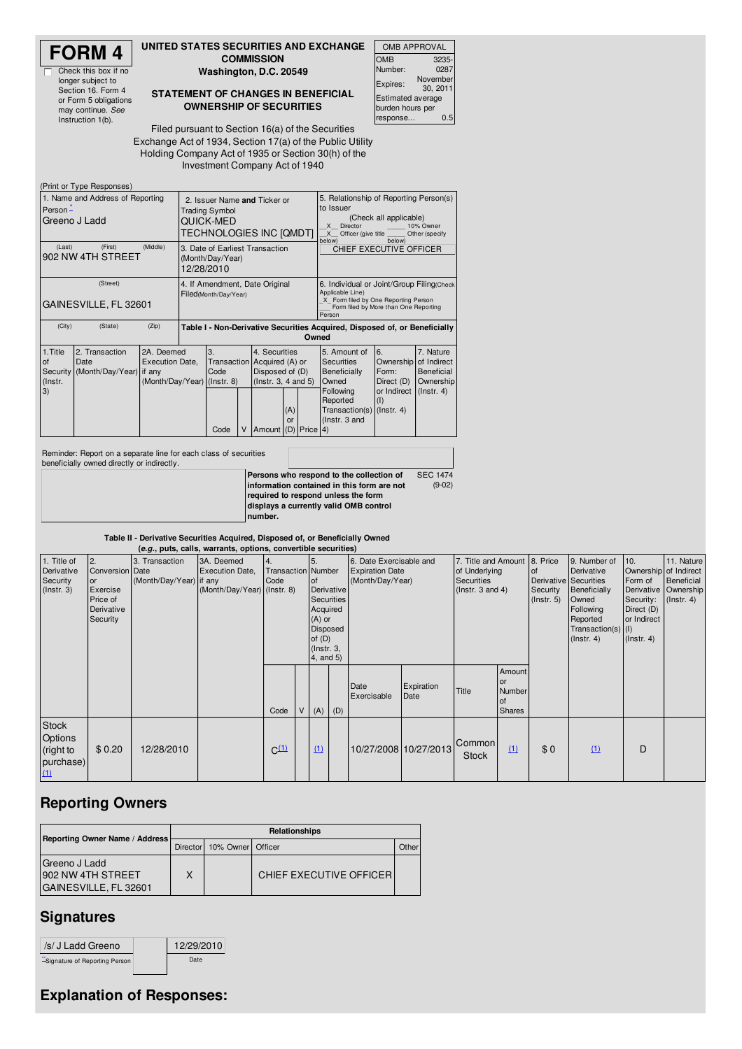

Check this box if no longer subject to Section 16. Form 4 or Form 5 obligations may continue. *See* Instruction 1(b).

#### **UNITED STATES SECURITIES AND EXCHANGE COMMISSION**

**Washington, D.C. 20549**

**STATEMENT OF CHANGES IN BENEFICIAL OWNERSHIP OF SECURITIES**

| <b>OMB APPROVAL</b>      |                      |  |  |  |  |  |
|--------------------------|----------------------|--|--|--|--|--|
| OMB                      | 3235-                |  |  |  |  |  |
| Number:                  | 0287                 |  |  |  |  |  |
| Expires:                 | November<br>30, 2011 |  |  |  |  |  |
| <b>Estimated average</b> |                      |  |  |  |  |  |
| burden hours per         |                      |  |  |  |  |  |
| 0.5<br>response          |                      |  |  |  |  |  |
|                          |                      |  |  |  |  |  |

Filed pursuant to Section 16(a) of the Securities Exchange Act of 1934, Section 17(a) of the Public Utility Holding Company Act of 1935 or Section 30(h) of the Investment Company Act of 1940

|                                                               | (Print or Type Responses)                                         |                                                                                     |  |                                                         |  |                                                                                                                                                                                      |                                                                                                                                                          |  |                                                                                                                            |                                                              |                                                                         |
|---------------------------------------------------------------|-------------------------------------------------------------------|-------------------------------------------------------------------------------------|--|---------------------------------------------------------|--|--------------------------------------------------------------------------------------------------------------------------------------------------------------------------------------|----------------------------------------------------------------------------------------------------------------------------------------------------------|--|----------------------------------------------------------------------------------------------------------------------------|--------------------------------------------------------------|-------------------------------------------------------------------------|
| 1. Name and Address of Reporting<br>Person -<br>Greeno J Ladd |                                                                   | <b>Trading Symbol</b><br>QUICK-MED                                                  |  | 2. Issuer Name and Ticker or<br>TECHNOLOGIES INC [QMDT] |  | 5. Relationship of Reporting Person(s)<br>to Issuer<br>(Check all applicable)<br>10% Owner<br>$\times$<br>Director<br>X<br>Officer (give title<br>Other (specify<br>below)<br>below) |                                                                                                                                                          |  |                                                                                                                            |                                                              |                                                                         |
| (Last)<br>902 NW 4TH STREET                                   | 3. Date of Earliest Transaction<br>(Month/Day/Year)<br>12/28/2010 |                                                                                     |  |                                                         |  |                                                                                                                                                                                      | CHIEF EXECUTIVE OFFICER                                                                                                                                  |  |                                                                                                                            |                                                              |                                                                         |
| GAINESVILLE, FL 32601                                         | 4. If Amendment, Date Original<br>Filed(Month/Day/Year)           |                                                                                     |  |                                                         |  |                                                                                                                                                                                      | 6. Individual or Joint/Group Filing(Check<br>Applicable Line)<br>X Form filed by One Reporting Person<br>Form filed by More than One Reporting<br>Person |  |                                                                                                                            |                                                              |                                                                         |
| (City)                                                        | (State)                                                           | (Zip)<br>Table I - Non-Derivative Securities Acquired, Disposed of, or Beneficially |  |                                                         |  |                                                                                                                                                                                      | Owned                                                                                                                                                    |  |                                                                                                                            |                                                              |                                                                         |
| 1. Title<br>of<br>Security<br>(Instr.<br>3)                   | 2. Transaction<br>Date<br>(Month/Day/Year) if any                 | 2A. Deemed<br>Execution Date,                                                       |  | 3.<br>Code<br>(Month/Day/Year) (Instr. 8)<br>V<br>Code  |  | 4. Securities<br>Transaction Acquired (A) or<br>Disposed of (D)<br>$($ lnstr. 3, 4 and 5 $)$<br>(A)<br>or<br>Amount (D) Price 4)                                                     |                                                                                                                                                          |  | 5. Amount of<br>Securities<br>Beneficially<br>Owned<br>Following<br>Reported<br>Transaction(s) (Instr. 4)<br>(Instr. 3 and | 6.<br>Ownership<br>Form:<br>Direct (D)<br>or Indirect<br>(1) | 7. Nature<br>of Indirect<br>Beneficial<br>Ownership<br>$($ lnstr. 4 $)$ |

Reminder: Report on a separate line for each class of securities beneficially owned directly or indirectly.

| Deliencially Owned Unectly Of Indirectly. |                                                             |
|-------------------------------------------|-------------------------------------------------------------|
|                                           | Persons who respond to the collection of<br><b>SEC 1474</b> |
|                                           | $(9-02)$<br>linformation contained in this form are not     |
|                                           | required to respond unless the form                         |
|                                           | displays a currently valid OMB control                      |
|                                           | Inumber.                                                    |

#### **Table II - Derivative Securities Acquired, Disposed of, or Beneficially Owned**

|                                                                 | (e.g., puts, calls, warrants, options, convertible securities)                              |                                           |                                                                     |                                                       |   |                                                                           |                                      |                                                                       |                    |                                                                              |                                                      |                                                    |                                                                                                                                                        |                                                                                                       |                                                                      |
|-----------------------------------------------------------------|---------------------------------------------------------------------------------------------|-------------------------------------------|---------------------------------------------------------------------|-------------------------------------------------------|---|---------------------------------------------------------------------------|--------------------------------------|-----------------------------------------------------------------------|--------------------|------------------------------------------------------------------------------|------------------------------------------------------|----------------------------------------------------|--------------------------------------------------------------------------------------------------------------------------------------------------------|-------------------------------------------------------------------------------------------------------|----------------------------------------------------------------------|
| 1. Title of<br>Derivative<br>Security<br>$($ Instr. 3 $)$       | $\overline{2}$ .<br>Conversion Date<br>or<br>Exercise<br>Price of<br>Derivative<br>Security | 3. Transaction<br>(Month/Day/Year) if any | 3A. Deemed<br><b>Execution Date,</b><br>(Month/Day/Year) (Instr. 8) | $\overline{4}$ .<br><b>Transaction</b> Number<br>Code |   | 5<br>of<br>Acquired<br>$(A)$ or<br>of $(D)$<br>$($ lnstr. 3,<br>4, and 5) | Derivative<br>Securities<br>Disposed | 6. Date Exercisable and<br><b>Expiration Date</b><br>(Month/Day/Year) |                    | 7. Title and Amount<br>of Underlying<br>Securities<br>$($ lnstr. 3 and 4 $)$ |                                                      | 8. Price<br><b>of</b><br>Security<br>$($ lnstr. 5) | 9. Number of<br>Derivative<br>Derivative Securities<br><b>Beneficially</b><br>Owned<br>Following<br>Reported<br>Transaction(s) (I)<br>$($ lnstr. 4 $)$ | 10.<br>Ownership of Indirect<br>Form of<br>Security:<br>Direct (D)<br>or Indirect<br>$($ lnstr. 4 $)$ | 11. Nature<br>Beneficial<br>Derivative Ownership<br>$($ lnstr. 4 $)$ |
|                                                                 |                                                                                             |                                           |                                                                     | Code                                                  | V | $(A)$ $(D)$                                                               |                                      | Date<br>Exercisable                                                   | Expiration<br>Date | Title                                                                        | Amount<br>or<br>Number<br><b>of</b><br><b>Shares</b> |                                                    |                                                                                                                                                        |                                                                                                       |                                                                      |
| <b>Stock</b><br><b>Options</b><br>(right to<br>purchase)<br>(1) | \$0.20                                                                                      | 12/28/2010                                |                                                                     | $C^{(1)}$                                             |   | (1)                                                                       |                                      | 10/27/2008 10/27/2013                                                 |                    | Common<br><b>Stock</b>                                                       | (1)                                                  | \$0                                                | (1)                                                                                                                                                    | D                                                                                                     |                                                                      |

## **Reporting Owners**

|                                                               | Relationships         |  |                         |              |  |  |  |  |  |
|---------------------------------------------------------------|-----------------------|--|-------------------------|--------------|--|--|--|--|--|
| Reporting Owner Name / Address                                | 10% Owner<br>Director |  | Officer                 | <b>Other</b> |  |  |  |  |  |
| IGreeno J Ladd<br>1902 NW 4TH STREET<br>GAINESVILLE, FL 32601 |                       |  | CHIEF EXECUTIVE OFFICER |              |  |  |  |  |  |

### **Signatures**

| /s/ J Ladd Greeno              | 12/29/2010 |
|--------------------------------|------------|
| -Signature of Reporting Person | Date       |

# **Explanation of Responses:**